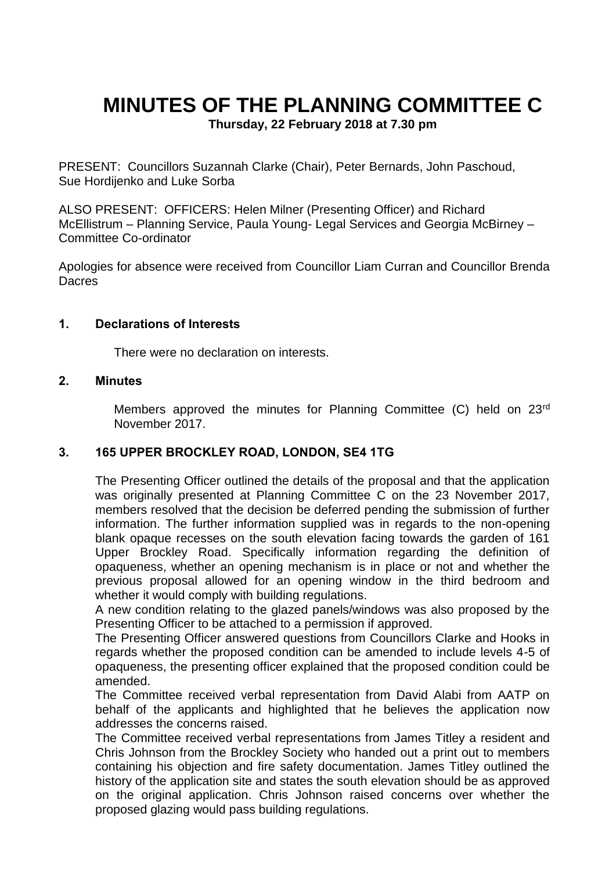# **MINUTES OF THE PLANNING COMMITTEE C**

**Thursday, 22 February 2018 at 7.30 pm**

PRESENT: Councillors Suzannah Clarke (Chair), Peter Bernards, John Paschoud, Sue Hordijenko and Luke Sorba

ALSO PRESENT: OFFICERS: Helen Milner (Presenting Officer) and Richard McEllistrum – Planning Service, Paula Young- Legal Services and Georgia McBirney – Committee Co-ordinator

Apologies for absence were received from Councillor Liam Curran and Councillor Brenda **Dacres** 

#### **1. Declarations of Interests**

There were no declaration on interests.

### **2. Minutes**

Members approved the minutes for Planning Committee (C) held on 23rd November 2017.

### **3. 165 UPPER BROCKLEY ROAD, LONDON, SE4 1TG**

The Presenting Officer outlined the details of the proposal and that the application was originally presented at Planning Committee C on the 23 November 2017, members resolved that the decision be deferred pending the submission of further information. The further information supplied was in regards to the non-opening blank opaque recesses on the south elevation facing towards the garden of 161 Upper Brockley Road. Specifically information regarding the definition of opaqueness, whether an opening mechanism is in place or not and whether the previous proposal allowed for an opening window in the third bedroom and whether it would comply with building regulations.

A new condition relating to the glazed panels/windows was also proposed by the Presenting Officer to be attached to a permission if approved.

The Presenting Officer answered questions from Councillors Clarke and Hooks in regards whether the proposed condition can be amended to include levels 4-5 of opaqueness, the presenting officer explained that the proposed condition could be amended.

The Committee received verbal representation from David Alabi from AATP on behalf of the applicants and highlighted that he believes the application now addresses the concerns raised.

The Committee received verbal representations from James Titley a resident and Chris Johnson from the Brockley Society who handed out a print out to members containing his objection and fire safety documentation. James Titley outlined the history of the application site and states the south elevation should be as approved on the original application. Chris Johnson raised concerns over whether the proposed glazing would pass building regulations.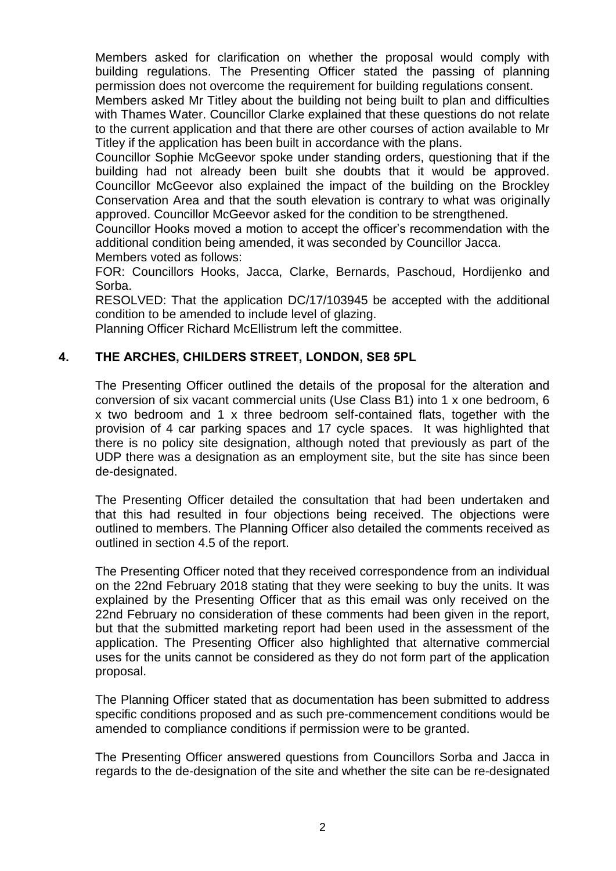Members asked for clarification on whether the proposal would comply with building regulations. The Presenting Officer stated the passing of planning permission does not overcome the requirement for building regulations consent.

Members asked Mr Titley about the building not being built to plan and difficulties with Thames Water. Councillor Clarke explained that these questions do not relate to the current application and that there are other courses of action available to Mr Titley if the application has been built in accordance with the plans.

Councillor Sophie McGeevor spoke under standing orders, questioning that if the building had not already been built she doubts that it would be approved. Councillor McGeevor also explained the impact of the building on the Brockley Conservation Area and that the south elevation is contrary to what was originally approved. Councillor McGeevor asked for the condition to be strengthened.

Councillor Hooks moved a motion to accept the officer's recommendation with the additional condition being amended, it was seconded by Councillor Jacca. Members voted as follows:

FOR: Councillors Hooks, Jacca, Clarke, Bernards, Paschoud, Hordijenko and Sorba.

RESOLVED: That the application DC/17/103945 be accepted with the additional condition to be amended to include level of glazing.

Planning Officer Richard McEllistrum left the committee.

## **4. THE ARCHES, CHILDERS STREET, LONDON, SE8 5PL**

The Presenting Officer outlined the details of the proposal for the alteration and conversion of six vacant commercial units (Use Class B1) into 1 x one bedroom, 6 x two bedroom and 1 x three bedroom self-contained flats, together with the provision of 4 car parking spaces and 17 cycle spaces. It was highlighted that there is no policy site designation, although noted that previously as part of the UDP there was a designation as an employment site, but the site has since been de-designated.

The Presenting Officer detailed the consultation that had been undertaken and that this had resulted in four objections being received. The objections were outlined to members. The Planning Officer also detailed the comments received as outlined in section 4.5 of the report.

The Presenting Officer noted that they received correspondence from an individual on the 22nd February 2018 stating that they were seeking to buy the units. It was explained by the Presenting Officer that as this email was only received on the 22nd February no consideration of these comments had been given in the report, but that the submitted marketing report had been used in the assessment of the application. The Presenting Officer also highlighted that alternative commercial uses for the units cannot be considered as they do not form part of the application proposal.

The Planning Officer stated that as documentation has been submitted to address specific conditions proposed and as such pre-commencement conditions would be amended to compliance conditions if permission were to be granted.

The Presenting Officer answered questions from Councillors Sorba and Jacca in regards to the de-designation of the site and whether the site can be re-designated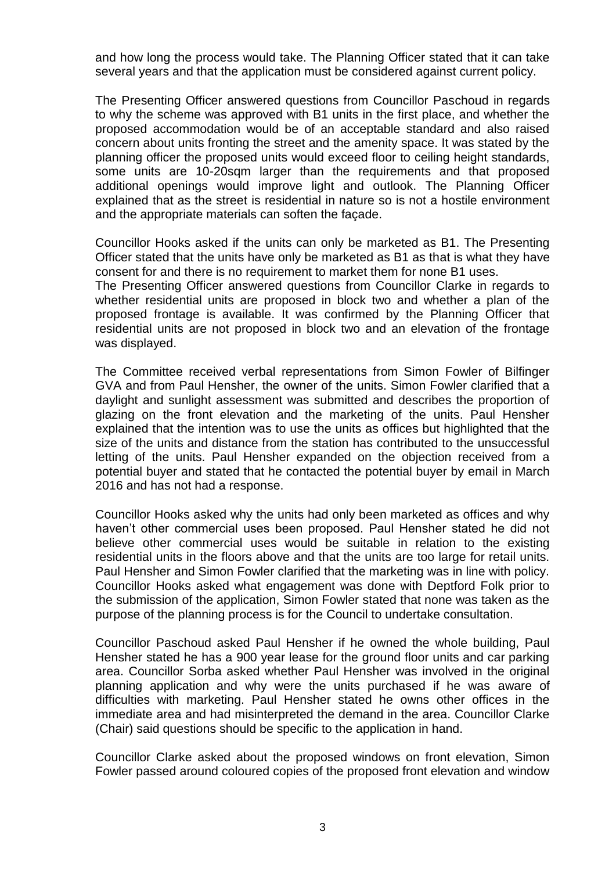and how long the process would take. The Planning Officer stated that it can take several years and that the application must be considered against current policy.

The Presenting Officer answered questions from Councillor Paschoud in regards to why the scheme was approved with B1 units in the first place, and whether the proposed accommodation would be of an acceptable standard and also raised concern about units fronting the street and the amenity space. It was stated by the planning officer the proposed units would exceed floor to ceiling height standards, some units are 10-20sqm larger than the requirements and that proposed additional openings would improve light and outlook. The Planning Officer explained that as the street is residential in nature so is not a hostile environment and the appropriate materials can soften the façade.

Councillor Hooks asked if the units can only be marketed as B1. The Presenting Officer stated that the units have only be marketed as B1 as that is what they have consent for and there is no requirement to market them for none B1 uses.

The Presenting Officer answered questions from Councillor Clarke in regards to whether residential units are proposed in block two and whether a plan of the proposed frontage is available. It was confirmed by the Planning Officer that residential units are not proposed in block two and an elevation of the frontage was displayed.

The Committee received verbal representations from Simon Fowler of Bilfinger GVA and from Paul Hensher, the owner of the units. Simon Fowler clarified that a daylight and sunlight assessment was submitted and describes the proportion of glazing on the front elevation and the marketing of the units. Paul Hensher explained that the intention was to use the units as offices but highlighted that the size of the units and distance from the station has contributed to the unsuccessful letting of the units. Paul Hensher expanded on the objection received from a potential buyer and stated that he contacted the potential buyer by email in March 2016 and has not had a response.

Councillor Hooks asked why the units had only been marketed as offices and why haven't other commercial uses been proposed. Paul Hensher stated he did not believe other commercial uses would be suitable in relation to the existing residential units in the floors above and that the units are too large for retail units. Paul Hensher and Simon Fowler clarified that the marketing was in line with policy. Councillor Hooks asked what engagement was done with Deptford Folk prior to the submission of the application, Simon Fowler stated that none was taken as the purpose of the planning process is for the Council to undertake consultation.

Councillor Paschoud asked Paul Hensher if he owned the whole building, Paul Hensher stated he has a 900 year lease for the ground floor units and car parking area. Councillor Sorba asked whether Paul Hensher was involved in the original planning application and why were the units purchased if he was aware of difficulties with marketing. Paul Hensher stated he owns other offices in the immediate area and had misinterpreted the demand in the area. Councillor Clarke (Chair) said questions should be specific to the application in hand.

Councillor Clarke asked about the proposed windows on front elevation, Simon Fowler passed around coloured copies of the proposed front elevation and window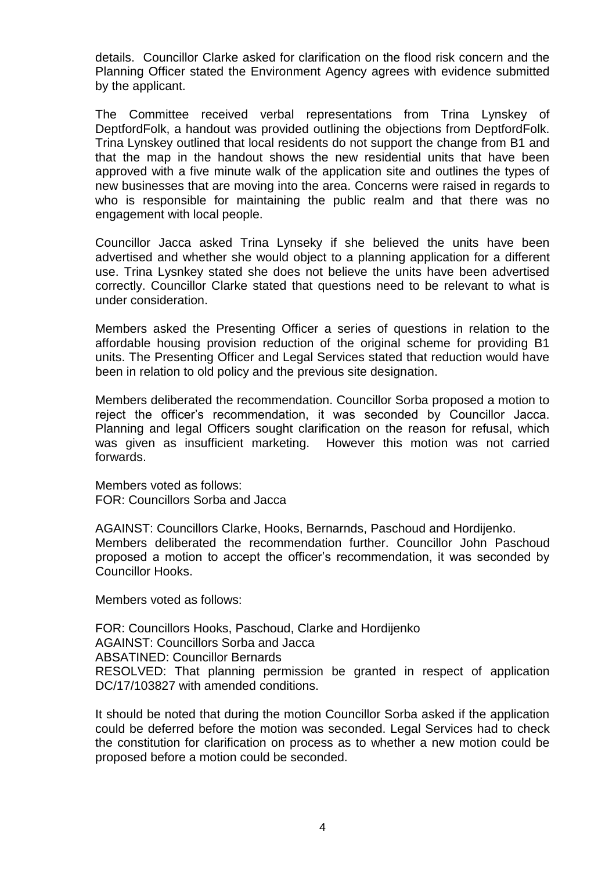details. Councillor Clarke asked for clarification on the flood risk concern and the Planning Officer stated the Environment Agency agrees with evidence submitted by the applicant.

The Committee received verbal representations from Trina Lynskey of DeptfordFolk, a handout was provided outlining the objections from DeptfordFolk. Trina Lynskey outlined that local residents do not support the change from B1 and that the map in the handout shows the new residential units that have been approved with a five minute walk of the application site and outlines the types of new businesses that are moving into the area. Concerns were raised in regards to who is responsible for maintaining the public realm and that there was no engagement with local people.

Councillor Jacca asked Trina Lynseky if she believed the units have been advertised and whether she would object to a planning application for a different use. Trina Lysnkey stated she does not believe the units have been advertised correctly. Councillor Clarke stated that questions need to be relevant to what is under consideration.

Members asked the Presenting Officer a series of questions in relation to the affordable housing provision reduction of the original scheme for providing B1 units. The Presenting Officer and Legal Services stated that reduction would have been in relation to old policy and the previous site designation.

Members deliberated the recommendation. Councillor Sorba proposed a motion to reject the officer's recommendation, it was seconded by Councillor Jacca. Planning and legal Officers sought clarification on the reason for refusal, which was given as insufficient marketing. However this motion was not carried forwards.

Members voted as follows: FOR: Councillors Sorba and Jacca

AGAINST: Councillors Clarke, Hooks, Bernarnds, Paschoud and Hordijenko. Members deliberated the recommendation further. Councillor John Paschoud proposed a motion to accept the officer's recommendation, it was seconded by Councillor Hooks.

Members voted as follows:

FOR: Councillors Hooks, Paschoud, Clarke and Hordijenko AGAINST: Councillors Sorba and Jacca ABSATINED: Councillor Bernards RESOLVED: That planning permission be granted in respect of application DC/17/103827 with amended conditions.

It should be noted that during the motion Councillor Sorba asked if the application could be deferred before the motion was seconded. Legal Services had to check the constitution for clarification on process as to whether a new motion could be proposed before a motion could be seconded.